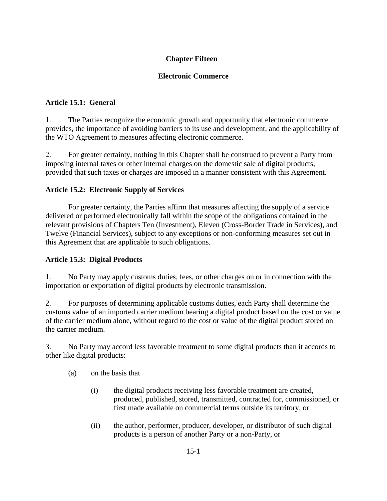# **Chapter Fifteen**

### **Electronic Commerce**

### **Article 15.1: General**

1. The Parties recognize the economic growth and opportunity that electronic commerce provides, the importance of avoiding barriers to its use and development, and the applicability of the WTO Agreement to measures affecting electronic commerce.

2. For greater certainty, nothing in this Chapter shall be construed to prevent a Party from imposing internal taxes or other internal charges on the domestic sale of digital products, provided that such taxes or charges are imposed in a manner consistent with this Agreement.

## **Article 15.2: Electronic Supply of Services**

For greater certainty, the Parties affirm that measures affecting the supply of a service delivered or performed electronically fall within the scope of the obligations contained in the relevant provisions of Chapters Ten (Investment), Eleven (Cross-Border Trade in Services), and Twelve (Financial Services), subject to any exceptions or non-conforming measures set out in this Agreement that are applicable to such obligations.

# **Article 15.3: Digital Products**

1. No Party may apply customs duties, fees, or other charges on or in connection with the importation or exportation of digital products by electronic transmission.

2. For purposes of determining applicable customs duties, each Party shall determine the customs value of an imported carrier medium bearing a digital product based on the cost or value of the carrier medium alone, without regard to the cost or value of the digital product stored on the carrier medium.

3. No Party may accord less favorable treatment to some digital products than it accords to other like digital products:

- (a) on the basis that
	- (i) the digital products receiving less favorable treatment are created, produced, published, stored, transmitted, contracted for, commissioned, or first made available on commercial terms outside its territory, or
	- (ii) the author, performer, producer, developer, or distributor of such digital products is a person of another Party or a non-Party, or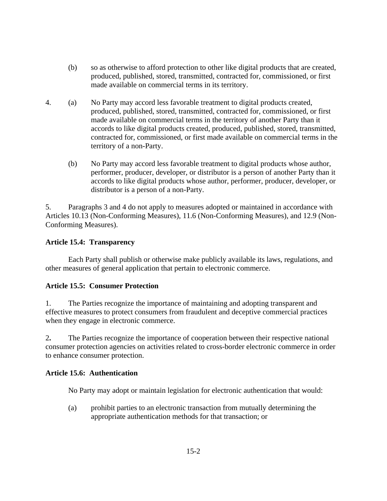- (b) so as otherwise to afford protection to other like digital products that are created, produced, published, stored, transmitted, contracted for, commissioned, or first made available on commercial terms in its territory.
- 4. (a) No Party may accord less favorable treatment to digital products created, produced, published, stored, transmitted, contracted for, commissioned, or first made available on commercial terms in the territory of another Party than it accords to like digital products created, produced, published, stored, transmitted, contracted for, commissioned, or first made available on commercial terms in the territory of a non-Party.
	- (b) No Party may accord less favorable treatment to digital products whose author, performer, producer, developer, or distributor is a person of another Party than it accords to like digital products whose author, performer, producer, developer, or distributor is a person of a non-Party.

5. Paragraphs 3 and 4 do not apply to measures adopted or maintained in accordance with Articles 10.13 (Non-Conforming Measures), 11.6 (Non-Conforming Measures), and 12.9 (Non-Conforming Measures).

#### **Article 15.4: Transparency**

Each Party shall publish or otherwise make publicly available its laws, regulations, and other measures of general application that pertain to electronic commerce.

# **Article 15.5: Consumer Protection**

1. The Parties recognize the importance of maintaining and adopting transparent and effective measures to protect consumers from fraudulent and deceptive commercial practices when they engage in electronic commerce.

2**.** The Parties recognize the importance of cooperation between their respective national consumer protection agencies on activities related to cross-border electronic commerce in order to enhance consumer protection.

#### **Article 15.6: Authentication**

No Party may adopt or maintain legislation for electronic authentication that would:

(a) prohibit parties to an electronic transaction from mutually determining the appropriate authentication methods for that transaction; or